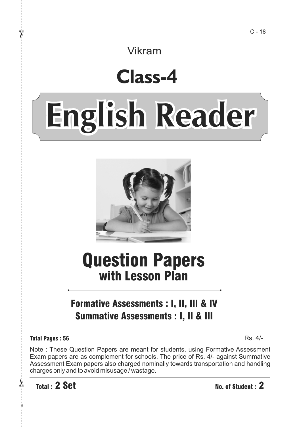Vikram

**Class-4**

# **English Reader**



# Question Papers with Lesson Plan

## Formative Assessments : I, II, III & IV Summative Assessments : I, II & III

#### Total Pages : 56

Rs. 4/-

Note : These Question Papers are meant for students, using Formative Assessment Exam papers are as complement for schools. The price of Rs. 4/- against Summative Assessment Exam papers also charged nominally towards transportation and handling charges only and to avoid misusage / wastage.

 $\lambda$ 

RK

 $\chi$ 

 $Total: 2 Set$   $N_0$  of Student : 2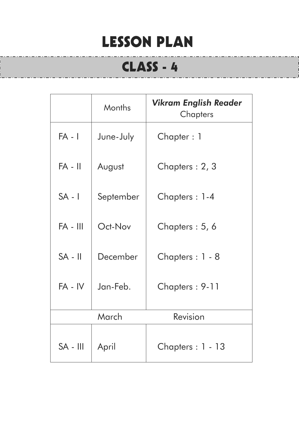# LESSON PLAN

## CLASS - 4

|            | Months    | <b>Vikram English Reader</b><br>Chapters |
|------------|-----------|------------------------------------------|
| $FA - I$   | June-July | Chapter: 1                               |
| $FA - II$  | August    | Chapters: 2, 3                           |
| $SA - I$   | September | Chapters: 1-4                            |
| $FA - III$ | Oct-Nov   | Chapters: 5, 6                           |
| $SA - II$  | December  | Chapters : 1 - 8                         |
| $FA - IV$  | Jan-Feb.  | Chapters: 9-11                           |
|            | March     | Revision                                 |
| $SA - III$ | April     | Chapters : 1 - 13                        |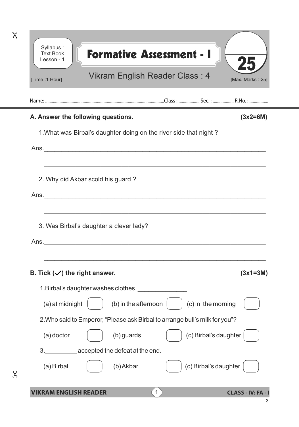| Lesson - 1<br>[Time :1 Hour]             | Vikram English Reader Class: 4                                                    | [Max. Marks: 25] |
|------------------------------------------|-----------------------------------------------------------------------------------|------------------|
|                                          |                                                                                   |                  |
|                                          | A. Answer the following questions.                                                | $(3x2=6M)$       |
|                                          | 1. What was Birbal's daughter doing on the river side that night?                 |                  |
|                                          |                                                                                   |                  |
|                                          | 2. Why did Akbar scold his guard?                                                 |                  |
|                                          |                                                                                   |                  |
|                                          | 3. Was Birbal's daughter a clever lady?                                           |                  |
|                                          |                                                                                   |                  |
| B. Tick $(\checkmark)$ the right answer. |                                                                                   | $(3x1=3M)$       |
| (a) at midnight                          | 1. Birbal's daughter washes clothes<br>(c) in the morning<br>(b) in the afternoon |                  |
|                                          | 2. Who said to Emperor, "Please ask Birbal to arrange bull's milk for you"?       |                  |
| (a) doctor                               | (c) Birbal's daughter<br>(b) guards                                               |                  |
|                                          | 3. ______________ accepted the defeat at the end.                                 |                  |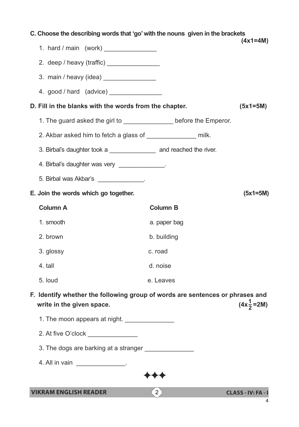| C. Choose the describing words that 'go' with the nouns given in the brackets                              |                   |                        |
|------------------------------------------------------------------------------------------------------------|-------------------|------------------------|
|                                                                                                            |                   | $(4x1=4M)$             |
|                                                                                                            |                   |                        |
|                                                                                                            |                   |                        |
| 4. good / hard (advice) ________________                                                                   |                   |                        |
| D. Fill in the blanks with the words from the chapter.                                                     |                   | $(5x1=5M)$             |
| 1. The guard asked the girl to ________________ before the Emperor.                                        |                   |                        |
| 2. Akbar asked him to fetch a glass of __________________ milk.                                            |                   |                        |
| 3. Birbal's daughter took a ________________ and reached the river.                                        |                   |                        |
| 4. Birbal's daughter was very ______________.                                                              |                   |                        |
| 5. Birbal was Akbar's ______________.                                                                      |                   |                        |
| E. Join the words which go together.                                                                       |                   | $(5x1=5M)$             |
| <b>Column A</b>                                                                                            | <b>Column B</b>   |                        |
| 1. smooth                                                                                                  | a. paper bag      |                        |
| 2. brown                                                                                                   | b. building       |                        |
| 3. glossy                                                                                                  | c. road           |                        |
| 4. tall                                                                                                    | d. noise          |                        |
| 5. loud                                                                                                    | e. Leaves         |                        |
| F. Identify whether the following group of words are sentences or phrases and<br>write in the given space. |                   | $(4x\frac{1}{2} = 2M)$ |
| 1. The moon appears at night. ________________                                                             |                   |                        |
| 2. At five O'clock ________________                                                                        |                   |                        |
| 3. The dogs are barking at a stranger ________________                                                     |                   |                        |
| 4. All in vain ________________.                                                                           |                   |                        |
|                                                                                                            |                   |                        |
| <b>VIKRAM ENGLISH READER</b>                                                                               | $\left( 2\right)$ | CLASS - IV: FA - I     |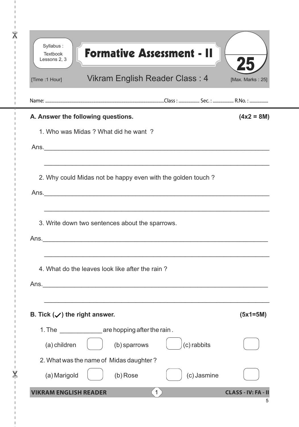| [Time :1 Hour]                           |                                                        | Vikram English Reader Class: 4                              | [Max. Marks: 25] |
|------------------------------------------|--------------------------------------------------------|-------------------------------------------------------------|------------------|
|                                          |                                                        |                                                             |                  |
| A. Answer the following questions.       |                                                        |                                                             | $(4x2 = 8M)$     |
|                                          | 1. Who was Midas ? What did he want ?                  |                                                             |                  |
|                                          |                                                        |                                                             |                  |
|                                          |                                                        | 2. Why could Midas not be happy even with the golden touch? |                  |
|                                          |                                                        |                                                             |                  |
|                                          |                                                        |                                                             |                  |
|                                          | 3. Write down two sentences about the sparrows.        |                                                             |                  |
|                                          |                                                        |                                                             |                  |
|                                          | 4. What do the leaves look like after the rain?        |                                                             |                  |
|                                          |                                                        |                                                             |                  |
|                                          |                                                        |                                                             |                  |
|                                          |                                                        |                                                             |                  |
| B. Tick $(\checkmark)$ the right answer. |                                                        |                                                             | $(5x1=5M)$       |
|                                          | 1. The ____________________are hopping after the rain. |                                                             |                  |
| (a) children                             | (b) sparrows                                           | (c) rabbits                                                 |                  |
|                                          | 2. What was the name of Midas daughter?                |                                                             |                  |
| (a) Marigold                             | (b) Rose                                               | (c) Jasmine                                                 |                  |

 $\overline{1}$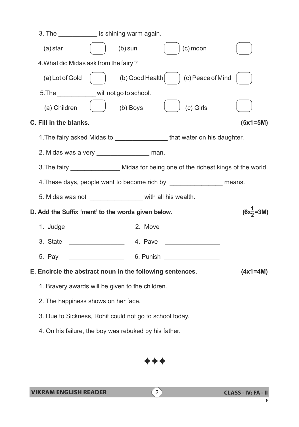| 3. The shining warm again.                                |                                             |                   |           |                                                                                        |                        |
|-----------------------------------------------------------|---------------------------------------------|-------------------|-----------|----------------------------------------------------------------------------------------|------------------------|
| $(a)$ star                                                |                                             | $(b)$ sun         |           | $(c)$ moon                                                                             |                        |
| 4. What did Midas ask from the fairy?                     |                                             |                   |           |                                                                                        |                        |
| (a) Lot of Gold                                           |                                             | $(b)$ Good Health |           | (c) Peace of Mind                                                                      |                        |
| 5. The ______________ will not go to school.              |                                             |                   |           |                                                                                        |                        |
| (a) Children                                              |                                             | (b) Boys          |           | (c) Girls                                                                              |                        |
| C. Fill in the blanks.                                    |                                             |                   |           |                                                                                        | $(5x1=5M)$             |
|                                                           |                                             |                   |           | 1. The fairy asked Midas to ____________________that water on his daughter.            |                        |
| 2. Midas was a very ______________________ man.           |                                             |                   |           |                                                                                        |                        |
|                                                           |                                             |                   |           | 3. The fairy __________________ Midas for being one of the richest kings of the world. |                        |
|                                                           |                                             |                   |           | 4. These days, people want to become rich by ______________________ means.             |                        |
| 5. Midas was not ________________ with all his wealth.    |                                             |                   |           |                                                                                        |                        |
| D. Add the Suffix 'ment' to the words given below.        |                                             |                   |           |                                                                                        | $(6x\frac{1}{2} = 3M)$ |
|                                                           |                                             |                   |           | <u> 1950 - Johann Barbara, martin a</u>                                                |                        |
| 3. State                                                  | <u> 1989 - Johann Stoff, francuski film</u> |                   |           | 4. Pave                                                                                |                        |
| 5. Pay                                                    |                                             |                   | 6. Punish |                                                                                        |                        |
| E. Encircle the abstract noun in the following sentences. |                                             |                   |           |                                                                                        | $(4x1=4M)$             |
| 1. Bravery awards will be given to the children.          |                                             |                   |           |                                                                                        |                        |
| 2. The happiness shows on her face.                       |                                             |                   |           |                                                                                        |                        |
| 3. Due to Sickness, Rohit could not go to school today.   |                                             |                   |           |                                                                                        |                        |
| 4. On his failure, the boy was rebuked by his father.     |                                             |                   |           |                                                                                        |                        |
|                                                           |                                             |                   |           |                                                                                        |                        |

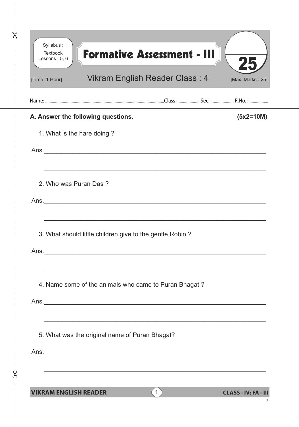| [Time :1 Hour]        | Vikram English Reader Class: 4                           | [Max. Marks: 25] |
|-----------------------|----------------------------------------------------------|------------------|
|                       |                                                          |                  |
|                       | A. Answer the following questions.                       | $(5x2=10M)$      |
|                       | 1. What is the hare doing?                               |                  |
|                       |                                                          |                  |
| 2. Who was Puran Das? |                                                          |                  |
|                       | Ans.                                                     |                  |
|                       | 3. What should little children give to the gentle Robin? |                  |
|                       |                                                          |                  |
|                       | 4. Name some of the animals who came to Puran Bhagat?    |                  |
|                       |                                                          |                  |
|                       | 5. What was the original name of Puran Bhagat?           |                  |
|                       |                                                          |                  |

Ï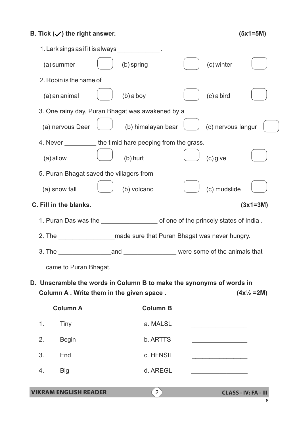#### **B.** Tick  $(\checkmark)$  the right answer. (5x1=5M)

|           |                                          | 1. Lark sings as if it is always ______________.                                  |              |                    |                        |
|-----------|------------------------------------------|-----------------------------------------------------------------------------------|--------------|--------------------|------------------------|
|           | (a) summer                               | (b) spring                                                                        | (c) winter   |                    |                        |
|           | 2. Robin is the name of                  |                                                                                   |              |                    |                        |
|           | (a) an animal                            | $(b)$ a boy                                                                       | $(c)$ a bird |                    |                        |
|           |                                          | 3. One rainy day, Puran Bhagat was awakened by a                                  |              |                    |                        |
|           | (a) nervous Deer                         | (b) himalayan bear                                                                |              | (c) nervous langur |                        |
|           |                                          | 4. Never ____________ the timid hare peeping from the grass.                      |              |                    |                        |
| (a) allow |                                          | (b) hurt                                                                          | (c) give     |                    |                        |
|           | 5. Puran Bhagat saved the villagers from |                                                                                   |              |                    |                        |
|           | (a) snow fall                            | (b) volcano                                                                       |              | (c) mudslide       |                        |
|           | C. Fill in the blanks.                   |                                                                                   |              |                    | $(3x1=3M)$             |
|           |                                          | 1. Puran Das was the ____________________ of one of the princely states of India. |              |                    |                        |
|           |                                          |                                                                                   |              |                    |                        |
|           |                                          |                                                                                   |              |                    |                        |
|           | came to Puran Bhagat.                    |                                                                                   |              |                    |                        |
|           |                                          | D. Unscramble the words in Column B to make the synonyms of words in              |              |                    |                        |
|           |                                          | Column A. Write them in the given space.                                          |              |                    | $(4x\frac{1}{2} = 2M)$ |
|           | <b>Column A</b>                          | <b>Column B</b>                                                                   |              |                    |                        |
| 1.        | <b>Tiny</b>                              | a. MALSL                                                                          |              |                    |                        |
| 2.        | <b>Begin</b>                             | b. ARTTS                                                                          |              |                    |                        |
| 3.        | End                                      | c. HFNSII                                                                         |              |                    |                        |
| 4.        | <b>Big</b>                               | d. AREGL                                                                          |              |                    |                        |
|           |                                          |                                                                                   |              |                    |                        |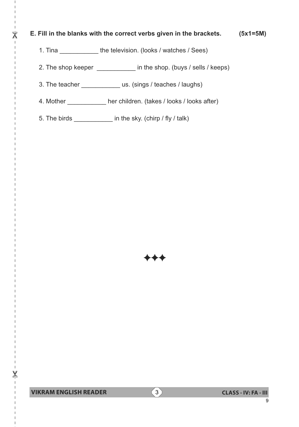#### **E. Fill in the blanks with the correct verbs given in the brackets. (5x1=5M)**

- 1. Tina \_\_\_\_\_\_\_\_\_\_\_ the television. (looks / watches / Sees)
- 2. The shop keeper \_\_\_\_\_\_\_\_\_\_\_ in the shop. (buys / sells / keeps)
- 3. The teacher \_\_\_\_\_\_\_\_\_\_\_\_\_\_\_ us. (sings / teaches / laughs)
- 4. Mother \_\_\_\_\_\_\_\_\_\_\_ her children. (takes / looks / looks after)
- 5. The birds **business** in the sky. (chirp / fly / talk)



"

 $\frac{1}{2}$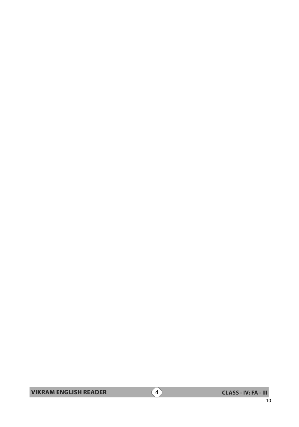#### **VIKRAM ENGLISH READER**

**CLASS - IV: FA - III**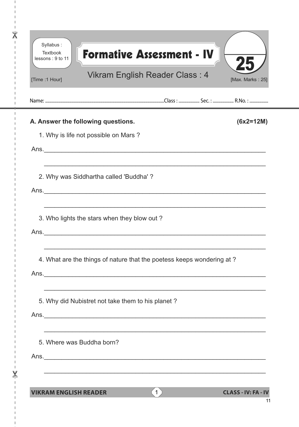| [Time :1 Hour]            | <b>Vikram English Reader Class: 4</b>                                  | [Max. Marks: 25] |
|---------------------------|------------------------------------------------------------------------|------------------|
|                           |                                                                        |                  |
|                           | A. Answer the following questions.                                     | $(6x2=12M)$      |
|                           | 1. Why is life not possible on Mars?                                   |                  |
|                           |                                                                        |                  |
|                           | 2. Why was Siddhartha called 'Buddha'?                                 |                  |
|                           |                                                                        |                  |
|                           | 3. Who lights the stars when they blow out?                            |                  |
|                           |                                                                        |                  |
|                           | 4. What are the things of nature that the poetess keeps wondering at ? |                  |
|                           | <u> 1999 - Johann John Stone, Amerikaansk politiker (d. 1989)</u>      |                  |
|                           | 5. Why did Nubistret not take them to his planet?                      |                  |
|                           |                                                                        |                  |
| 5. Where was Buddha born? |                                                                        |                  |
|                           |                                                                        |                  |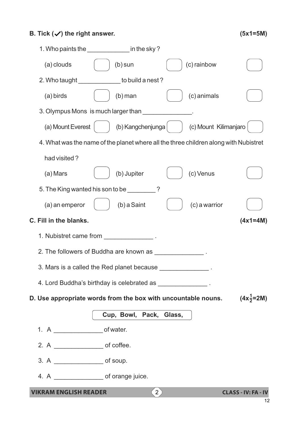#### **B.** Tick  $(\checkmark)$  the right answer. (5x1=5M)

| 1. Who paints the _________________ in the sky?                                      |                         |                   |                       |                            |
|--------------------------------------------------------------------------------------|-------------------------|-------------------|-----------------------|----------------------------|
| (a) clouds                                                                           | $(b)$ sun               |                   | (c) rainbow           |                            |
| 2. Who taught ______________ to build a nest?                                        |                         |                   |                       |                            |
| (a) birds                                                                            | $(b)$ man               |                   | (c) animals           |                            |
| 3. Olympus Mons is much larger than 1990 Company of the Monteverthian 1.             |                         |                   |                       |                            |
| (a) Mount Everest                                                                    | (b) Kangchenjunga       |                   | (c) Mount Kilimanjaro |                            |
| 4. What was the name of the planet where all the three children along with Nubistret |                         |                   |                       |                            |
| had visited?                                                                         |                         |                   |                       |                            |
| $(a)$ Mars                                                                           | (b) Jupiter             |                   | (c) Venus             |                            |
| 5. The King wanted his son to be _________?                                          |                         |                   |                       |                            |
| (a) an emperor                                                                       | (b) a Saint             |                   | (c) a warrior         |                            |
| C. Fill in the blanks.                                                               |                         |                   |                       | $(4x1=4M)$                 |
| 1. Nubistret came from ________________.                                             |                         |                   |                       |                            |
| 2. The followers of Buddha are known as The followers of Buddha are known as         |                         |                   |                       |                            |
| 3. Mars is a called the Red planet because _______________.                          |                         |                   |                       |                            |
| 4. Lord Buddha's birthday is celebrated as ______________.                           |                         |                   |                       |                            |
| D. Use appropriate words from the box with uncountable nouns.                        |                         |                   |                       | $(4x\frac{1}{2}=2M)$       |
|                                                                                      | Cup, Bowl, Pack, Glass, |                   |                       |                            |
| 1. A ________________________ of water.                                              |                         |                   |                       |                            |
|                                                                                      |                         |                   |                       |                            |
| 3. A ________________________ of soup.                                               |                         |                   |                       |                            |
| 4. A ______________________ of orange juice.                                         |                         |                   |                       |                            |
| <b>VIKRAM ENGLISH READER</b>                                                         |                         | $\left( 2\right)$ |                       | <b>CLASS - IV: FA - IV</b> |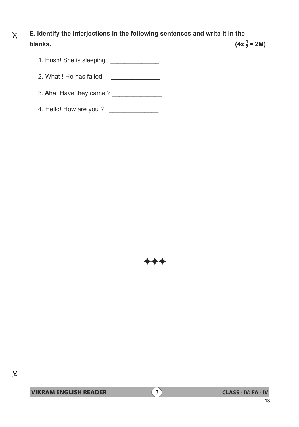**E. Identify the interjections in the following sentences and write it in the** 

# $\frac{1}{2}$

**blanks.**  $(4x \frac{1}{2} = 2M)$  **2**

1. Hush! She is sleeping \_\_\_\_\_\_\_\_\_\_\_\_\_\_\_

2. What ! He has failed \_\_\_\_\_\_\_\_\_\_\_\_\_\_

3. Aha! Have they came ?

4. Hello! How are you ?



"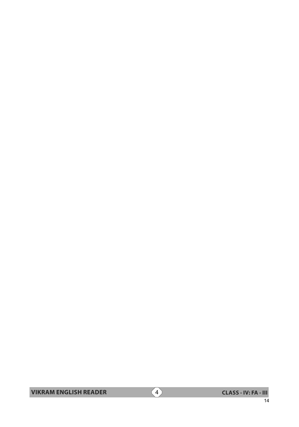#### **VIKRAM ENGLISH READER**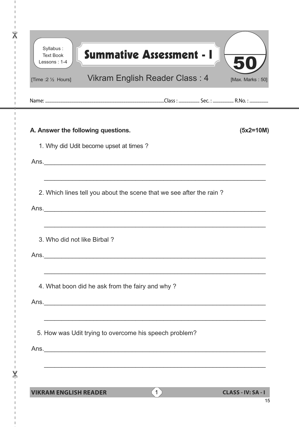| [Time : 2 1/2 Hours] | Syllabus:<br><b>Text Book</b><br>Lessons: 1-4 |                                                                              | <b>Summative Assessment - I</b><br>Vikram English Reader Class: 4                                                                                                              | [Max. Marks: 50]          |
|----------------------|-----------------------------------------------|------------------------------------------------------------------------------|--------------------------------------------------------------------------------------------------------------------------------------------------------------------------------|---------------------------|
|                      |                                               |                                                                              |                                                                                                                                                                                |                           |
|                      |                                               | A. Answer the following questions.<br>1. Why did Udit become upset at times? |                                                                                                                                                                                | $(5x2=10M)$               |
|                      |                                               |                                                                              | 2. Which lines tell you about the scene that we see after the rain?                                                                                                            |                           |
| Ans.                 |                                               | 3. Who did not like Birbal?                                                  |                                                                                                                                                                                |                           |
|                      |                                               | 4. What boon did he ask from the fairy and why?                              |                                                                                                                                                                                |                           |
|                      |                                               |                                                                              | <u> 1989 - Johann John Harry Harry Harry Harry Harry Harry Harry Harry Harry Harry Harry Harry Harry Harry Harry</u><br>5. How was Udit trying to overcome his speech problem? |                           |
|                      | <b>VIKRAM ENGLISH READER</b>                  |                                                                              | (1)                                                                                                                                                                            | <b>CLASS - IV: SA - I</b> |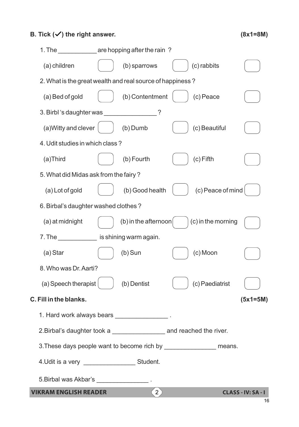#### **B.** Tick  $(\checkmark)$  the right answer. (8x1=8M)

| <b>VIKRAM ENGLISH READER</b>                                                                                                                                                                                                   |                        | (2) |                    | CLASS - IV: SA - I |
|--------------------------------------------------------------------------------------------------------------------------------------------------------------------------------------------------------------------------------|------------------------|-----|--------------------|--------------------|
| 5. Birbal was Akbar's ________________.                                                                                                                                                                                        |                        |     |                    |                    |
| 4. Udit is a very __________________________ Student.                                                                                                                                                                          |                        |     |                    |                    |
| 3. These days people want to become rich by __________________ means.                                                                                                                                                          |                        |     |                    |                    |
| 2. Birbal's daughter took a ______________________ and reached the river.                                                                                                                                                      |                        |     |                    |                    |
| 1. Hard work always bears _________________.                                                                                                                                                                                   |                        |     |                    |                    |
| C. Fill in the blanks.                                                                                                                                                                                                         |                        |     |                    | $(5x1=5M)$         |
| (a) Speech therapist $\vert$ $\vert$ (b) Dentist                                                                                                                                                                               |                        |     | (c) Paediatrist    |                    |
| 8. Who was Dr. Aarti?                                                                                                                                                                                                          |                        |     |                    |                    |
| (a) Star                                                                                                                                                                                                                       | $(b)$ Sun              |     | (c) Moon           |                    |
| 7. The contract of the contract of the contract of the contract of the contract of the contract of the contract of the contract of the contract of the contract of the contract of the contract of the contract of the contrac | is shining warm again. |     |                    |                    |
| (a) at midnight                                                                                                                                                                                                                | $(b)$ in the afternoon |     | (c) in the morning |                    |
| 6. Birbal's daughter washed clothes?                                                                                                                                                                                           |                        |     |                    |                    |
| (a) Lot of gold                                                                                                                                                                                                                | (b) Good health        |     | (c) Peace of mind  |                    |
| 5. What did Midas ask from the fairy?                                                                                                                                                                                          |                        |     |                    |                    |
| (a)Third                                                                                                                                                                                                                       | (b) Fourth             |     | (c) Fifth          |                    |
| 4. Udit studies in which class?                                                                                                                                                                                                |                        |     |                    |                    |
| (a) Witty and clever                                                                                                                                                                                                           | (b) Dumb               |     | (c) Beautiful      |                    |
| 3. Birbl 's daughter was                                                                                                                                                                                                       |                        |     |                    |                    |
| (a) Bed of gold                                                                                                                                                                                                                | (b) Contentment        |     | (c) Peace          |                    |
| 2. What is the great wealth and real source of happiness?                                                                                                                                                                      |                        |     |                    |                    |
| (a) children                                                                                                                                                                                                                   | (b) sparrows           |     | (c) rabbits        |                    |
| 1. The are hopping after the rain?                                                                                                                                                                                             |                        |     |                    |                    |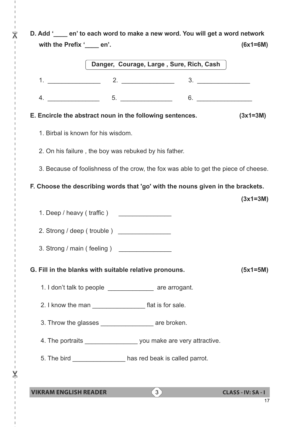| with the Prefix '____ en'.                                |                                                       |                                                                                     | $(6x1=6M)$ |
|-----------------------------------------------------------|-------------------------------------------------------|-------------------------------------------------------------------------------------|------------|
|                                                           |                                                       | Danger, Courage, Large, Sure, Rich, Cash                                            |            |
|                                                           |                                                       |                                                                                     |            |
|                                                           |                                                       |                                                                                     |            |
| E. Encircle the abstract noun in the following sentences. |                                                       |                                                                                     | $(3x1=3M)$ |
| 1. Birbal is known for his wisdom.                        |                                                       |                                                                                     |            |
| 2. On his failure, the boy was rebuked by his father.     |                                                       |                                                                                     |            |
|                                                           |                                                       | 3. Because of foolishness of the crow, the fox was able to get the piece of cheese. |            |
|                                                           |                                                       | F. Choose the describing words that 'go' with the nouns given in the brackets.      |            |
|                                                           |                                                       |                                                                                     | $(3x1=3M)$ |
|                                                           |                                                       |                                                                                     |            |
| 2. Strong / deep (trouble) _________________              |                                                       |                                                                                     |            |
| 3. Strong / main (feeling)                                |                                                       |                                                                                     |            |
| G. Fill in the blanks with suitable relative pronouns.    |                                                       |                                                                                     | $(5x1=5M)$ |
| 1. I don't talk to people ________________ are arrogant.  |                                                       |                                                                                     |            |
|                                                           |                                                       |                                                                                     |            |
|                                                           | 3. Throw the glasses ____________________ are broken. |                                                                                     |            |
|                                                           |                                                       |                                                                                     |            |
|                                                           |                                                       | 4. The portraits ______________________ you make are very attractive.               |            |

**VIKRAM ENGLISH READER** 3 **CLASS - IV: SA - I**

 $-\frac{1}{2}$ 

 $\overline{1}$  $\mathbf{I}$ H

 $\mathbb{I}$ 

 $\mathbf{I}$ 

 $\frac{1}{\sqrt{2}}$ 

J.  $\bar{1}$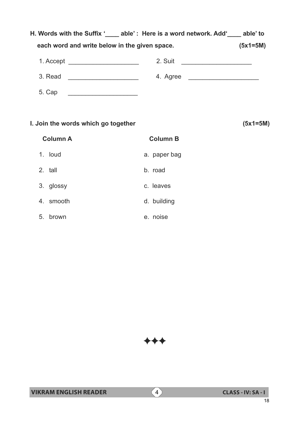| H. Words with the Suffix '_____ able': Here is a word network. Add'_____ able' to |                                     |  |                                |            |
|-----------------------------------------------------------------------------------|-------------------------------------|--|--------------------------------|------------|
| each word and write below in the given space.                                     |                                     |  | $(5x1=5M)$                     |            |
|                                                                                   | 1. Accept ________________________  |  | 2. Suit ______________________ |            |
|                                                                                   |                                     |  | 4. Agree                       |            |
|                                                                                   |                                     |  |                                |            |
|                                                                                   |                                     |  |                                |            |
|                                                                                   | I. Join the words which go together |  |                                | $(5x1=5M)$ |
|                                                                                   | <b>Column A</b>                     |  | <b>Column B</b>                |            |
|                                                                                   | 1. loud                             |  | a. paper bag                   |            |
|                                                                                   | 2. tall                             |  | b. road                        |            |
|                                                                                   | 3. glossy                           |  | c. leaves                      |            |
|                                                                                   | 4. smooth                           |  | d. building                    |            |
| 5.                                                                                | brown                               |  | e. noise                       |            |

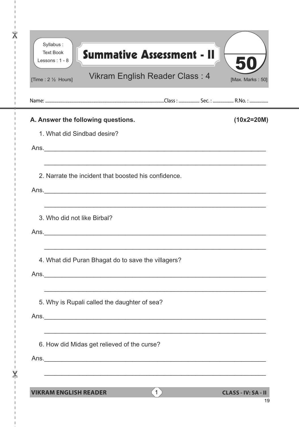| [Time : 2 1/2 Hours]               | Vikram English Reader Class: 4                                                                                                                                      | [Max. Marks: 50] |
|------------------------------------|---------------------------------------------------------------------------------------------------------------------------------------------------------------------|------------------|
| A. Answer the following questions. |                                                                                                                                                                     | $(10x2=20M)$     |
| 1. What did Sindbad desire?        |                                                                                                                                                                     |                  |
|                                    |                                                                                                                                                                     |                  |
|                                    |                                                                                                                                                                     |                  |
|                                    | 2. Narrate the incident that boosted his confidence.                                                                                                                |                  |
|                                    |                                                                                                                                                                     |                  |
| 3. Who did not like Birbal?        |                                                                                                                                                                     |                  |
|                                    |                                                                                                                                                                     |                  |
|                                    |                                                                                                                                                                     |                  |
|                                    | 4. What did Puran Bhagat do to save the villagers?                                                                                                                  |                  |
|                                    | <u> 1999 - Johann John Stone, Amerikaansk politiker (d. 1989)</u>                                                                                                   |                  |
|                                    | 5. Why is Rupali called the daughter of sea?                                                                                                                        |                  |
|                                    |                                                                                                                                                                     |                  |
|                                    | <u> 1999 - Jan James James James James James James James James James James James James James James James James J</u><br>6. How did Midas get relieved of the curse? |                  |
|                                    |                                                                                                                                                                     |                  |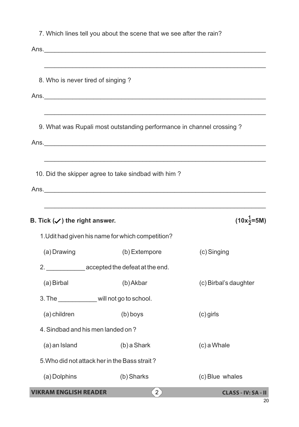|                                                     | 7. Which lines tell you about the scene that we see after the rain?                                                   |                            |
|-----------------------------------------------------|-----------------------------------------------------------------------------------------------------------------------|----------------------------|
| 8. Who is never tired of singing?                   |                                                                                                                       |                            |
|                                                     |                                                                                                                       |                            |
|                                                     | 9. What was Rupali most outstanding performance in channel crossing?                                                  |                            |
|                                                     |                                                                                                                       |                            |
| 10. Did the skipper agree to take sindbad with him? | ,我们也不能在这里的人,我们也不能在这里的人,我们也不能在这里的人,我们也不能在这里的人,我们也不能在这里的人,我们也不能在这里的人,我们也不能在这里的人,我们也                                     |                            |
|                                                     |                                                                                                                       |                            |
| B. Tick $(\checkmark)$ the right answer.            | <u> 1989 - Johann Harry Harry Harry Harry Harry Harry Harry Harry Harry Harry Harry Harry Harry Harry Harry Harry</u> | $(10x\frac{1}{2} = 5M)$    |
| 1. Udit had given his name for which competition?   |                                                                                                                       |                            |
| (a) Drawing                                         | (b) Extempore                                                                                                         | (c) Singing                |
| 2. _________________accepted the defeat at the end. |                                                                                                                       |                            |
| (a) Birbal                                          | (b) Akbar                                                                                                             | (c) Birbal's daughter      |
| 3. The ______________will not go to school.         |                                                                                                                       |                            |
| (a) children                                        | (b) boys                                                                                                              | $(c)$ girls                |
| 4. Sindbad and his men landed on?                   |                                                                                                                       |                            |
| (a) an Island                                       | $(b)$ a Shark                                                                                                         | (c) a Whale                |
| 5. Who did not attack her in the Bass strait?       |                                                                                                                       |                            |
| (a) Dolphins                                        | (b) Sharks                                                                                                            | (c) Blue whales            |
| <b>VIKRAM ENGLISH READER</b>                        | $\mathbf{2}^{\prime}$                                                                                                 | <b>CLASS - IV: SA - II</b> |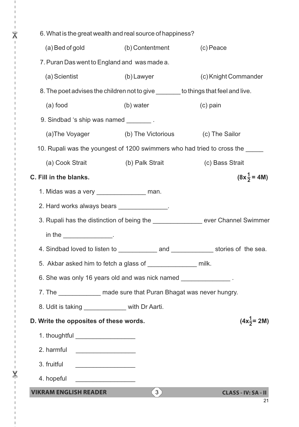6. What is the great wealth and real source of happiness? (a) Bed of gold (b) Contentment (c) Peace 7. Puran Das went to England and was made a. (a) Scientist (b) Lawyer (c) Knight Commander 8. The poet advises the children not to give \_\_\_\_\_\_\_ to things that feel and live. (a) food (b) water (c) pain 9. Sindbad 's ship was named \_\_\_\_\_\_\_\_. (a)The Voyager (b) The Victorious (c) The Sailor 10. Rupali was the youngest of 1200 swimmers who had tried to cross the \_\_\_\_\_ (a) Cook Strait (b) Palk Strait (c) Bass Strait **C. Fill in the blanks.** 1. Midas was a very \_\_\_\_\_\_\_\_\_\_\_\_\_\_\_\_\_ man. 2. Hard works always bears \_\_\_\_\_\_\_\_\_\_\_\_\_. 3. Rupali has the distinction of being the \_\_\_\_\_\_\_\_\_\_\_\_\_\_ ever Channel Swimmer  $\blacksquare$  in the  $\blacksquare$ 4. Sindbad loved to listen to \_\_\_\_\_\_\_\_\_\_\_\_\_ and \_\_\_\_\_\_\_\_\_\_\_\_\_ stories of the sea. 5. Akbar asked him to fetch a glass of The Mulk. 6. She was only 16 years old and was nick named 7. The \_\_\_\_\_\_\_\_\_\_\_\_\_ made sure that Puran Bhagat was never hungry. 8. Udit is taking \_\_\_\_\_\_\_\_\_\_\_\_ with Dr Aarti. **D. Write the opposites of these words.**  1. thoughtful \_\_\_\_\_\_\_\_\_\_\_\_\_\_\_\_\_ 2. harmful **b**  3. fruitful \_\_\_\_\_\_\_\_\_\_\_\_\_\_\_\_\_ 4. hopeful **VIKRAM ENGLISH READER** 3 **CLASS - IV: SA - II 1 2 1 2**

 $\mathbb X$ 

 $\mathbb{X}^{\mathbb{R}}$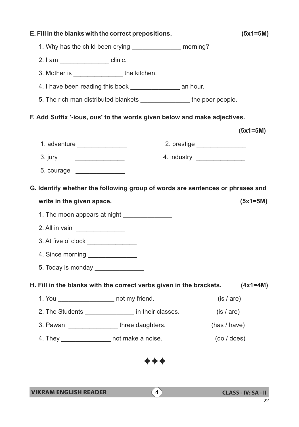| E. Fill in the blanks with the correct prepositions.                          |                                                                          | $(5x1=5M)$ |
|-------------------------------------------------------------------------------|--------------------------------------------------------------------------|------------|
| 1. Why has the child been crying ___________________ morning?                 |                                                                          |            |
| 2. I am ____________________clinic.                                           |                                                                          |            |
| 3. Mother is ___________________the kitchen.                                  |                                                                          |            |
|                                                                               |                                                                          |            |
|                                                                               | 5. The rich man distributed blankets __________________ the poor people. |            |
| F. Add Suffix '-ious, ous' to the words given below and make adjectives.      |                                                                          |            |
|                                                                               |                                                                          | $(5x1=5M)$ |
| 1. adventure ________________                                                 |                                                                          |            |
| 3. jury <u>____________________</u>                                           | 4. industry _________________                                            |            |
| 5. courage _________________                                                  |                                                                          |            |
| G. Identify whether the following group of words are sentences or phrases and |                                                                          |            |
|                                                                               |                                                                          |            |
| write in the given space.                                                     |                                                                          | $(5x1=5M)$ |
| 1. The moon appears at night ________________                                 |                                                                          |            |
| 2. All in vain                                                                |                                                                          |            |
| 3. At five o' clock ________________                                          |                                                                          |            |
| 4. Since morning ________________                                             |                                                                          |            |
| 5. Today is monday _______________                                            |                                                                          |            |
| H. Fill in the blanks with the correct verbs given in the brackets.           |                                                                          | $(4x1=4M)$ |
| 1. You ________________________ not my friend.                                | (is / are)                                                               |            |
| 2. The Students _________________ in their classes.                           | (is / are)                                                               |            |
| 3. Pawan __________________three daughters.                                   | (has / have)                                                             |            |
| 4. They ___________________ not make a noise.                                 | (do / does)                                                              |            |

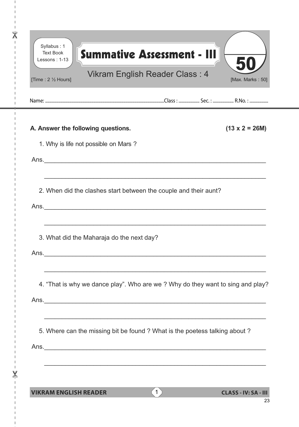| [Time : 2 1/2 Hours]                                                            | Vikram English Reader Class: 4 | [Max. Marks: 50]      |
|---------------------------------------------------------------------------------|--------------------------------|-----------------------|
|                                                                                 |                                |                       |
| A. Answer the following questions.                                              |                                | $(13 \times 2 = 26M)$ |
| 1. Why is life not possible on Mars?                                            |                                |                       |
| Ans.                                                                            |                                |                       |
| 2. When did the clashes start between the couple and their aunt?                |                                |                       |
|                                                                                 |                                |                       |
| 3. What did the Maharaja do the next day?                                       |                                |                       |
|                                                                                 |                                |                       |
| 4. "That is why we dance play". Who are we ? Why do they want to sing and play? |                                |                       |
|                                                                                 |                                |                       |
| 5. Where can the missing bit be found ? What is the poetess talking about ?     |                                |                       |
|                                                                                 |                                |                       |

J.  $\overline{1}$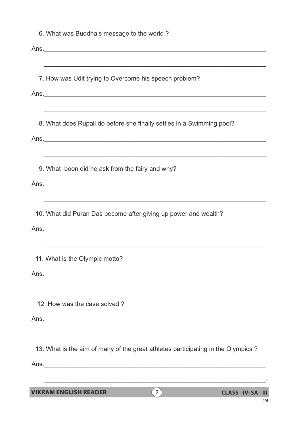| $\overline{2}$<br><b>VIKRAM ENGLISH READER</b><br><b>CLASS - IV: SA - III</b><br>24                                 |
|---------------------------------------------------------------------------------------------------------------------|
| <u> 1989 - Johann Stoff, amerikansk politiker (d. 1989)</u>                                                         |
|                                                                                                                     |
| 13. What is the aim of many of the great athletes participating in the Olympics?                                    |
|                                                                                                                     |
| 12. How was the case solved?                                                                                        |
|                                                                                                                     |
| Ans.                                                                                                                |
| ,我们也不能在这里的人,我们也不能在这里的人,我们也不能在这里的人,我们也不能在这里的人,我们也不能在这里的人,我们也不能在这里的人,我们也不能在这里的人,我们也<br>11. What is the Olympic motto? |
|                                                                                                                     |
| 10. What did Puran Das become after giving up power and wealth?                                                     |
| <u> 1990 - 1990 - 1990 - 1990 - 1990 - 1990 - 1990 - 1990 - 1990 - 1990 - 1990 - 1990 - 1990 - 1990 - 1990 - 19</u> |
| 9. What boon did he ask from the fairy and why?                                                                     |
|                                                                                                                     |
| 8. What does Rupali do before she finally settles in a Swimming pool?                                               |
|                                                                                                                     |
|                                                                                                                     |
| 7. How was Udit trying to Overcome his speech problem?                                                              |
|                                                                                                                     |
| 6. What was Buddha's message to the world?                                                                          |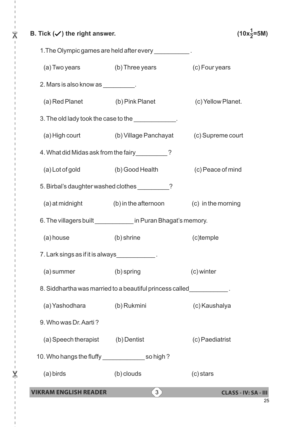### **B.** Tick  $(\checkmark)$  the right answer.

 $\frac{1}{2}$ 

 $\mathbf{I}$ 

 $-1$ 

 $\mathbf{I}$ ı

 $\mathbb{I}$ 

#### **1 2**

| <b>VIKRAM ENGLISH READER</b>                                                                                          | 3 <sup>2</sup> | <b>CLASS - IV: SA - III</b>                                   |  |  |
|-----------------------------------------------------------------------------------------------------------------------|----------------|---------------------------------------------------------------|--|--|
| (a) birds                                                                                                             | (b) clouds     | (c) stars                                                     |  |  |
| 10. Who hangs the fluffy ____________________so high?                                                                 |                |                                                               |  |  |
| (a) Speech therapist (b) Dentist                                                                                      |                | (c) Paediatrist                                               |  |  |
| 9. Who was Dr. Aarti?                                                                                                 |                |                                                               |  |  |
| (a) Yashodhara                                                                                                        | (b) Rukmini    | (c) Kaushalya                                                 |  |  |
| 8. Siddhartha was married to a beautiful princess called____________.                                                 |                |                                                               |  |  |
| (a) summer                                                                                                            | (b) spring     | (c) winter                                                    |  |  |
| 7. Lark sings as if it is always <b>container the set of the set of the set of the set of the set of the set of t</b> |                |                                                               |  |  |
| (a) house                                                                                                             | (b) shrine     | (c)temple                                                     |  |  |
| 6. The villagers built ____________ in Puran Bhagat's memory.                                                         |                |                                                               |  |  |
|                                                                                                                       |                | $(a)$ at midnight $(b)$ in the afternoon $(c)$ in the morning |  |  |
| 5. Birbal's daughter washed clothes _________?                                                                        |                |                                                               |  |  |
| (a) Lot of gold (b) Good Health                                                                                       |                | (c) Peace of mind                                             |  |  |
| 4. What did Midas ask from the fairy_________?                                                                        |                |                                                               |  |  |
|                                                                                                                       |                | (a) High court (b) Village Panchayat (c) Supreme court        |  |  |
| 3. The old lady took the case to the                                                                                  |                |                                                               |  |  |
| (a) Red Planet (b) Pink Planet                                                                                        |                | (c) Yellow Planet.                                            |  |  |
| 2. Mars is also know as __________.                                                                                   |                |                                                               |  |  |
| (a) Two years (b) Three years (c) Four years                                                                          |                |                                                               |  |  |
| 1. The Olympic games are held after every ____________.                                                               |                |                                                               |  |  |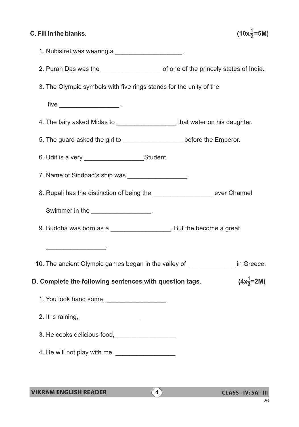#### **C. Fill in the blanks.**

- 1. Nubistret was wearing a \_\_\_\_\_\_\_\_\_\_\_\_\_\_\_\_\_\_\_\_\_\_\_\_\_\_\_.
- 2. Puran Das was the \_\_\_\_\_\_\_\_\_\_\_\_\_\_\_\_\_\_\_\_\_\_ of one of the princely states of India.
- 3. The Olympic symbols with five rings stands for the unity of the

 $five$  .

- 4. The fairy asked Midas to \_\_\_\_\_\_\_\_\_\_\_\_\_\_\_\_\_\_\_\_\_ that water on his daughter.
- 5. The guard asked the girl to \_\_\_\_\_\_\_\_\_\_\_\_\_\_\_\_\_\_\_\_\_ before the Emperor.
- 6. Udit is a very \_\_\_\_\_\_\_\_\_\_\_\_\_\_\_\_\_\_\_\_\_\_\_Student.
- 7. Name of Sindbad's ship was \_\_\_\_\_\_\_\_\_\_\_\_\_\_\_\_.
- 8. Rupali has the distinction of being the **\_\_\_\_\_\_\_\_\_\_\_\_\_\_\_\_\_\_** ever Channel
- Swimmer in the **EXECUTE:**

\_\_\_\_\_\_\_\_\_\_\_\_\_\_\_\_\_.

9. Buddha was born as a \_\_\_\_\_\_\_\_\_\_\_\_\_\_\_\_\_. But the become a great

10. The ancient Olympic games began in the valley of The ancient Greece.

#### **D. Complete the following sentences with question tags. 1 2**

- 1. You look hand some,
- 2. It is raining, \_\_\_\_\_\_\_\_\_\_\_\_\_\_\_\_\_
- 3. He cooks delicious food, \_\_\_\_\_\_\_\_\_\_\_\_\_\_\_\_\_
- 4. He will not play with me, \_\_\_\_\_\_\_\_\_\_\_\_\_\_\_\_\_

**VIKRAM ENGLISH READER**  $(4)$  **CLASS - IV: SA - III**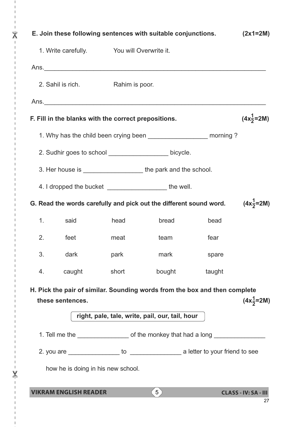|                                                                            |                                                      |       | E. Join these following sentences with suitable conjunctions.                   |               | $(2x1=2M)$                  |
|----------------------------------------------------------------------------|------------------------------------------------------|-------|---------------------------------------------------------------------------------|---------------|-----------------------------|
|                                                                            | 1. Write carefully. You will Overwrite it.           |       |                                                                                 |               |                             |
|                                                                            |                                                      |       |                                                                                 |               |                             |
|                                                                            | 2. Sahil is rich. Rahim is poor.                     |       |                                                                                 |               |                             |
|                                                                            |                                                      |       |                                                                                 |               |                             |
|                                                                            | F. Fill in the blanks with the correct prepositions. |       |                                                                                 |               | $(4x\frac{1}{2} = 2M)$      |
|                                                                            |                                                      |       | 1. Why has the child been crying been __________________________ morning?       |               |                             |
|                                                                            |                                                      |       | 2. Sudhir goes to school ___________________ bicycle.                           |               |                             |
|                                                                            |                                                      |       | 3. Her house is ______________________________ the park and the school.         |               |                             |
|                                                                            |                                                      |       | 4. I dropped the bucket ________________________ the well.                      |               |                             |
|                                                                            |                                                      |       | G. Read the words carefully and pick out the different sound word.              |               | $(4x\frac{1}{2} = 2M)$      |
| 1.                                                                         | said                                                 | head  | bread                                                                           | bead          |                             |
| 2.                                                                         | feet                                                 | meat  | team                                                                            | fear          |                             |
| 3.                                                                         | dark                                                 | park  | mark                                                                            | spare         |                             |
| 4.                                                                         | caught                                               | short |                                                                                 | bought taught |                             |
| H. Pick the pair of similar. Sounding words from the box and then complete |                                                      |       |                                                                                 |               |                             |
|                                                                            | these sentences.                                     |       |                                                                                 |               | $(4x\frac{1}{2}=2M)$        |
|                                                                            |                                                      |       | right, pale, tale, write, pail, our, tail, hour                                 |               |                             |
|                                                                            |                                                      |       | 1. Tell me the _________________ of the monkey that had a long ________________ |               |                             |
|                                                                            |                                                      |       |                                                                                 |               |                             |
|                                                                            | how he is doing in his new school.                   |       |                                                                                 |               |                             |
|                                                                            | <b>VIKRAM ENGLISH READER</b>                         |       | 5 <sup>2</sup>                                                                  |               | <b>CLASS - IV: SA - III</b> |
|                                                                            |                                                      |       |                                                                                 |               | 27                          |

 $-36 -$ 

 $\mathbf{I}$ 

 $-\frac{1}{2}$ 

 $\mathbf{I}$